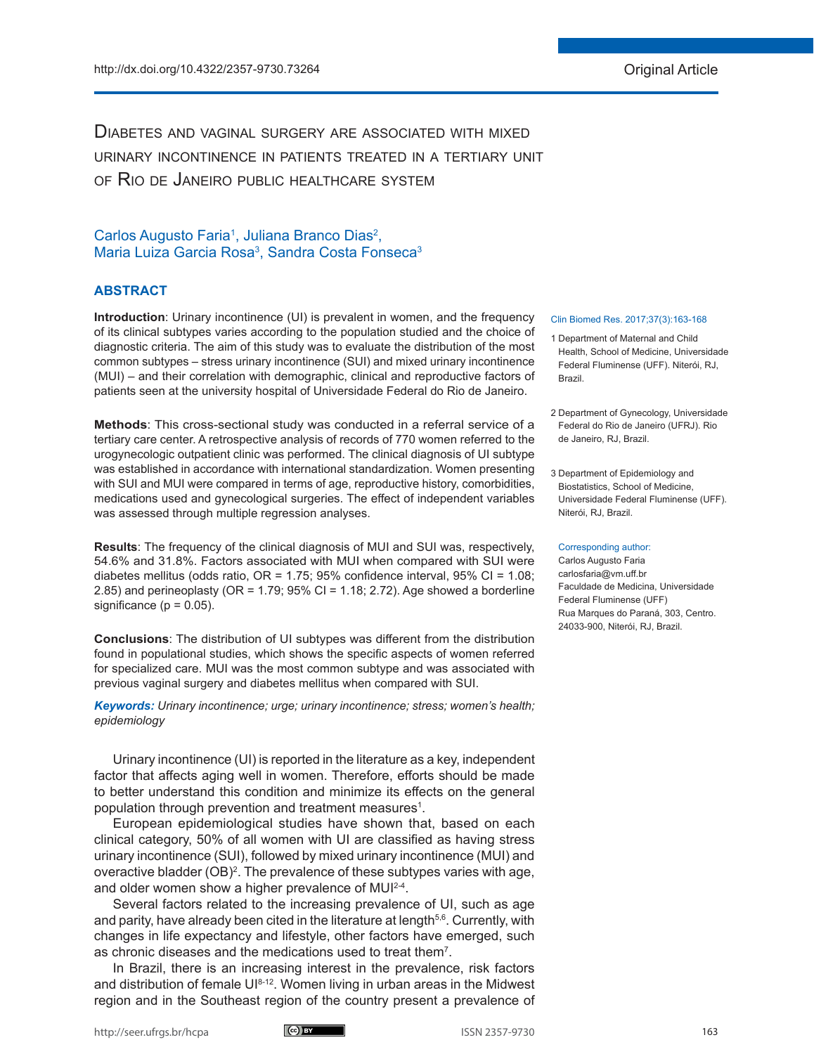Diabetes and vaginal surgery are associated with mixed urinary incontinence in patients treated in a tertiary unit of Rio de Janeiro public healthcare system

# Carlos Augusto Faria<sup>1</sup>, Juliana Branco Dias<sup>2</sup>, Maria Luiza Garcia Rosa<sup>3</sup>, Sandra Costa Fonseca<sup>3</sup>

# **ABSTRACT**

**Introduction**: Urinary incontinence (UI) is prevalent in women, and the frequency of its clinical subtypes varies according to the population studied and the choice of diagnostic criteria. The aim of this study was to evaluate the distribution of the most common subtypes – stress urinary incontinence (SUI) and mixed urinary incontinence (MUI) – and their correlation with demographic, clinical and reproductive factors of patients seen at the university hospital of Universidade Federal do Rio de Janeiro.

**Methods**: This cross-sectional study was conducted in a referral service of a tertiary care center. A retrospective analysis of records of 770 women referred to the urogynecologic outpatient clinic was performed. The clinical diagnosis of UI subtype was established in accordance with international standardization. Women presenting with SUI and MUI were compared in terms of age, reproductive history, comorbidities, medications used and gynecological surgeries. The effect of independent variables was assessed through multiple regression analyses.

**Results**: The frequency of the clinical diagnosis of MUI and SUI was, respectively, 54.6% and 31.8%. Factors associated with MUI when compared with SUI were diabetes mellitus (odds ratio, OR = 1.75; 95% confidence interval, 95% CI = 1.08; 2.85) and perineoplasty (OR = 1.79; 95% CI = 1.18; 2.72). Age showed a borderline significance ( $p = 0.05$ ).

**Conclusions**: The distribution of UI subtypes was different from the distribution found in populational studies, which shows the specific aspects of women referred for specialized care. MUI was the most common subtype and was associated with previous vaginal surgery and diabetes mellitus when compared with SUI.

*Keywords: Urinary incontinence; urge; urinary incontinence; stress; women's health; epidemiology*

Urinary incontinence (UI) is reported in the literature as a key, independent factor that affects aging well in women. Therefore, efforts should be made to better understand this condition and minimize its effects on the general population through prevention and treatment measures<sup>1</sup>.

European epidemiological studies have shown that, based on each clinical category, 50% of all women with UI are classified as having stress urinary incontinence (SUI), followed by mixed urinary incontinence (MUI) and overactive bladder (OB)<sup>2</sup>. The prevalence of these subtypes varies with age, and older women show a higher prevalence of MUI<sup>2-4</sup>.

Several factors related to the increasing prevalence of UI, such as age and parity, have already been cited in the literature at length<sup>5,6</sup>. Currently, with changes in life expectancy and lifestyle, other factors have emerged, such as chronic diseases and the medications used to treat them<sup>7</sup>.

In Brazil, there is an increasing interest in the prevalence, risk factors and distribution of female UI8-12. Women living in urban areas in the Midwest region and in the Southeast region of the country present a prevalence of

#### Clin Biomed Res. 2017;37(3):163-168

- 1 Department of Maternal and Child Health, School of Medicine, Universidade Federal Fluminense (UFF). Niterói, RJ, Brazil.
- 2 Department of Gynecology, Universidade Federal do Rio de Janeiro (UFRJ). Rio de Janeiro, RJ, Brazil.
- 3 Department of Epidemiology and Biostatistics, School of Medicine, Universidade Federal Fluminense (UFF). Niterói, RJ, Brazil.

#### Corresponding author:

Carlos Augusto Faria carlosfaria@vm.uff.br Faculdade de Medicina, Universidade Federal Fluminense (UFF) Rua Marques do Paraná, 303, Centro. 24033-900, Niterói, RJ, Brazil.

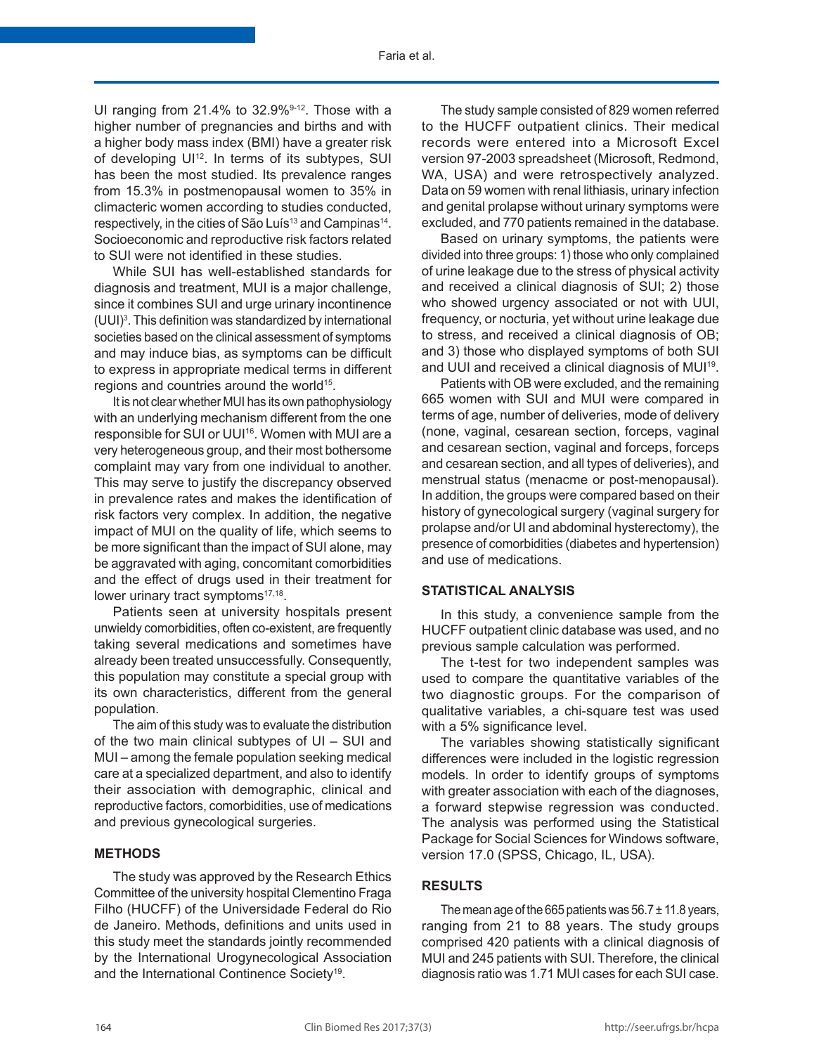UI ranging from  $21.4\%$  to  $32.9\%<sup>9-12</sup>$ . Those with a higher number of pregnancies and births and with a higher body mass index (BMI) have a greater risk of developing UI<sup>12</sup>. In terms of its subtypes, SUI has been the most studied. Its prevalence ranges from 15.3% in postmenopausal women to 35% in climacteric women according to studies conducted, respectively, in the cities of São Luís<sup>13</sup> and Campinas<sup>14</sup>. Socioeconomic and reproductive risk factors related to SUI were not identified in these studies.

While SUI has well-established standards for diagnosis and treatment, MUI is a major challenge, since it combines SUI and urge urinary incontinence (UUI)3 . This definition was standardized by international societies based on the clinical assessment of symptoms and may induce bias, as symptoms can be difficult to express in appropriate medical terms in different regions and countries around the world<sup>15</sup>.

It is not clear whether MUI has its own pathophysiology with an underlying mechanism different from the one responsible for SUI or UUI<sup>16</sup>. Women with MUI are a very heterogeneous group, and their most bothersome complaint may vary from one individual to another. This may serve to justify the discrepancy observed in prevalence rates and makes the identification of risk factors very complex. In addition, the negative impact of MUI on the quality of life, which seems to be more significant than the impact of SUI alone, may be aggravated with aging, concomitant comorbidities and the effect of drugs used in their treatment for lower urinary tract symptoms<sup>17,18</sup>.

Patients seen at university hospitals present unwieldy comorbidities, often co-existent, are frequently taking several medications and sometimes have already been treated unsuccessfully. Consequently, this population may constitute a special group with its own characteristics, different from the general population.

The aim of this study was to evaluate the distribution of the two main clinical subtypes of UI – SUI and MUI – among the female population seeking medical care at a specialized department, and also to identify their association with demographic, clinical and reproductive factors, comorbidities, use of medications and previous gynecological surgeries.

# **METHODS**

The study was approved by the Research Ethics Committee of the university hospital Clementino Fraga Filho (HUCFF) of the Universidade Federal do Rio de Janeiro. Methods, definitions and units used in this study meet the standards jointly recommended by the International Urogynecological Association and the International Continence Society<sup>19</sup>.

The study sample consisted of 829 women referred to the HUCFF outpatient clinics. Their medical records were entered into a Microsoft Excel version 97-2003 spreadsheet (Microsoft, Redmond, WA, USA) and were retrospectively analyzed. Data on 59 women with renal lithiasis, urinary infection and genital prolapse without urinary symptoms were excluded, and 770 patients remained in the database.

Based on urinary symptoms, the patients were divided into three groups: 1) those who only complained of urine leakage due to the stress of physical activity and received a clinical diagnosis of SUI; 2) those who showed urgency associated or not with UUI, frequency, or nocturia, yet without urine leakage due to stress, and received a clinical diagnosis of OB; and 3) those who displayed symptoms of both SUI and UUI and received a clinical diagnosis of MUI<sup>19</sup>.

Patients with OB were excluded, and the remaining 665 women with SUI and MUI were compared in terms of age, number of deliveries, mode of delivery (none, vaginal, cesarean section, forceps, vaginal and cesarean section, vaginal and forceps, forceps and cesarean section, and all types of deliveries), and menstrual status (menacme or post-menopausal). In addition, the groups were compared based on their history of gynecological surgery (vaginal surgery for prolapse and/or UI and abdominal hysterectomy), the presence of comorbidities (diabetes and hypertension) and use of medications.

### **STATISTICAL ANALYSIS**

In this study, a convenience sample from the HUCFF outpatient clinic database was used, and no previous sample calculation was performed.

The t-test for two independent samples was used to compare the quantitative variables of the two diagnostic groups. For the comparison of qualitative variables, a chi-square test was used with a 5% significance level.

The variables showing statistically significant differences were included in the logistic regression models. In order to identify groups of symptoms with greater association with each of the diagnoses, a forward stepwise regression was conducted. The analysis was performed using the Statistical Package for Social Sciences for Windows software, version 17.0 (SPSS, Chicago, IL, USA).

#### **RESULTS**

The mean age of the 665 patients was  $56.7 \pm 11.8$  years, ranging from 21 to 88 years. The study groups comprised 420 patients with a clinical diagnosis of MUI and 245 patients with SUI. Therefore, the clinical diagnosis ratio was 1.71 MUI cases for each SUI case.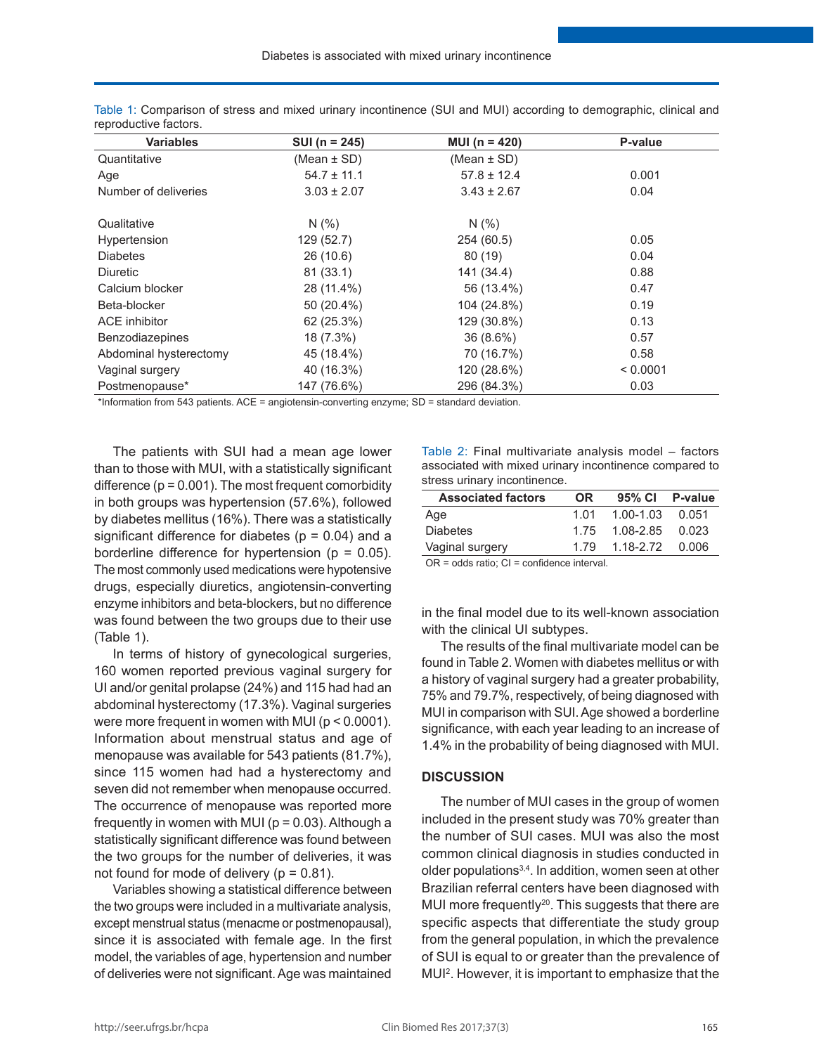| <b>Variables</b>       | SUI ( $n = 245$ ) | MUI ( $n = 420$ ) | P-value  |
|------------------------|-------------------|-------------------|----------|
| Quantitative           | (Mean $\pm$ SD)   | (Mean $\pm$ SD)   |          |
| Age                    | $54.7 \pm 11.1$   | $57.8 \pm 12.4$   | 0.001    |
| Number of deliveries   | $3.03 \pm 2.07$   | $3.43 \pm 2.67$   | 0.04     |
| Qualitative            | N(% )             | N(% )             |          |
| Hypertension           | 129 (52.7)        | 254 (60.5)        | 0.05     |
| <b>Diabetes</b>        | 26 (10.6)         | 80(19)            | 0.04     |
| <b>Diuretic</b>        | 81(33.1)          | 141 (34.4)        | 0.88     |
| Calcium blocker        | 28 (11.4%)        | 56 (13.4%)        | 0.47     |
| Beta-blocker           | 50 (20.4%)        | 104 (24.8%)       | 0.19     |
| ACE inhibitor          | 62 (25.3%)        | 129 (30.8%)       | 0.13     |
| Benzodiazepines        | 18 (7.3%)         | $36(8.6\%)$       | 0.57     |
| Abdominal hysterectomy | 45 (18.4%)        | 70 (16.7%)        | 0.58     |
| Vaginal surgery        | 40 (16.3%)        | 120 (28.6%)       | < 0.0001 |
| Postmenopause*         | 147 (76.6%)       | 296 (84.3%)       | 0.03     |

Table 1: Comparison of stress and mixed urinary incontinence (SUI and MUI) according to demographic, clinical and reproductive factors.

\*Information from 543 patients. ACE = angiotensin-converting enzyme; SD = standard deviation.

The patients with SUI had a mean age lower than to those with MUI, with a statistically significant difference  $(p = 0.001)$ . The most frequent comorbidity in both groups was hypertension (57.6%), followed by diabetes mellitus (16%). There was a statistically significant difference for diabetes ( $p = 0.04$ ) and a borderline difference for hypertension ( $p = 0.05$ ). The most commonly used medications were hypotensive drugs, especially diuretics, angiotensin-converting enzyme inhibitors and beta-blockers, but no difference was found between the two groups due to their use (Table 1).

In terms of history of gynecological surgeries, 160 women reported previous vaginal surgery for UI and/or genital prolapse (24%) and 115 had had an abdominal hysterectomy (17.3%). Vaginal surgeries were more frequent in women with MUI (p < 0.0001). Information about menstrual status and age of menopause was available for 543 patients (81.7%), since 115 women had had a hysterectomy and seven did not remember when menopause occurred. The occurrence of menopause was reported more frequently in women with MUI ( $p = 0.03$ ). Although a statistically significant difference was found between the two groups for the number of deliveries, it was not found for mode of delivery ( $p = 0.81$ ).

Variables showing a statistical difference between the two groups were included in a multivariate analysis, except menstrual status (menacme or postmenopausal), since it is associated with female age. In the first model, the variables of age, hypertension and number of deliveries were not significant. Age was maintained

Table 2: Final multivariate analysis model – factors associated with mixed urinary incontinence compared to stress urinary incontinence.

| <b>Associated factors</b> | OR.  | 95% Cl P-value      |  |
|---------------------------|------|---------------------|--|
| Age                       | 1 01 | $1.00 - 1.03$ 0.051 |  |
| <b>Diabetes</b>           | 175  | 1.08-2.85 0.023     |  |
| Vaginal surgery           | 1 79 | 1.18-2.72 0.006     |  |

OR = odds ratio; CI = confidence interval.

in the final model due to its well-known association with the clinical UI subtypes.

The results of the final multivariate model can be found in Table 2. Women with diabetes mellitus or with a history of vaginal surgery had a greater probability, 75% and 79.7%, respectively, of being diagnosed with MUI in comparison with SUI. Age showed a borderline significance, with each year leading to an increase of 1.4% in the probability of being diagnosed with MUI.

#### **DISCUSSION**

The number of MUI cases in the group of women included in the present study was 70% greater than the number of SUI cases. MUI was also the most common clinical diagnosis in studies conducted in older populations3,4. In addition, women seen at other Brazilian referral centers have been diagnosed with MUI more frequently<sup>20</sup>. This suggests that there are specific aspects that differentiate the study group from the general population, in which the prevalence of SUI is equal to or greater than the prevalence of MUI2 . However, it is important to emphasize that the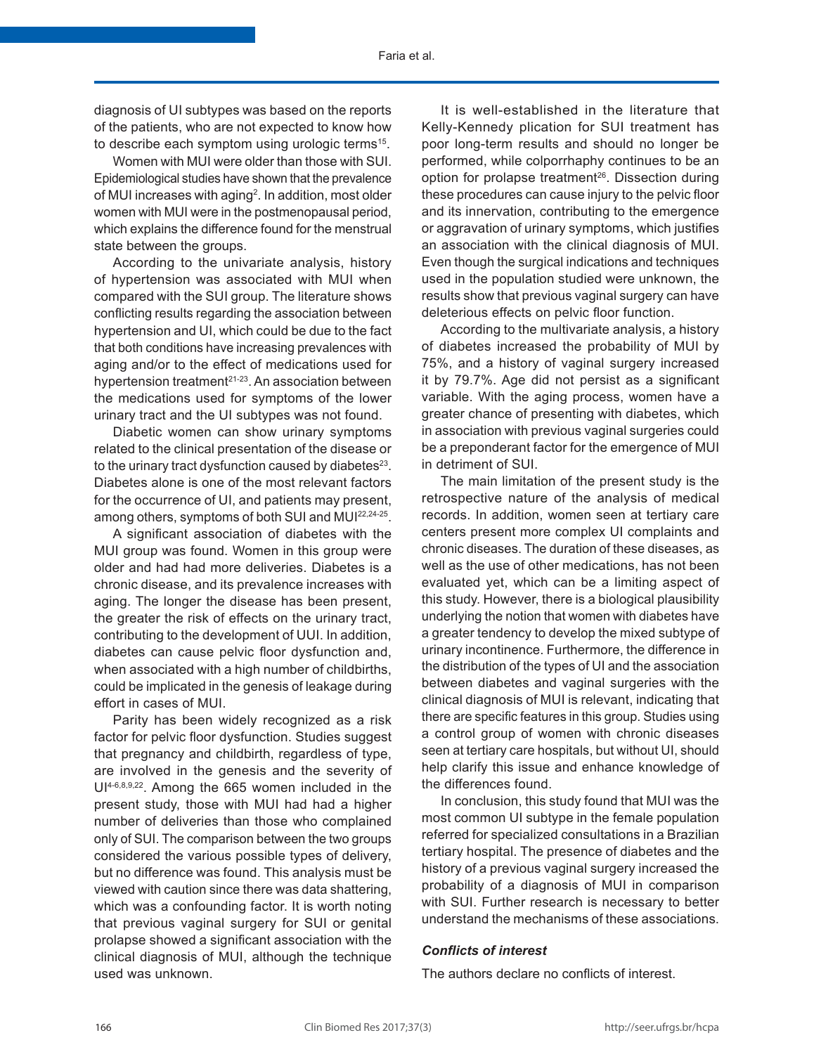diagnosis of UI subtypes was based on the reports of the patients, who are not expected to know how to describe each symptom using urologic terms<sup>15</sup>.

Women with MUI were older than those with SUI. Epidemiological studies have shown that the prevalence of MUI increases with aging<sup>2</sup>. In addition, most older women with MUI were in the postmenopausal period, which explains the difference found for the menstrual state between the groups.

According to the univariate analysis, history of hypertension was associated with MUI when compared with the SUI group. The literature shows conflicting results regarding the association between hypertension and UI, which could be due to the fact that both conditions have increasing prevalences with aging and/or to the effect of medications used for hypertension treatment<sup>21-23</sup>. An association between the medications used for symptoms of the lower urinary tract and the UI subtypes was not found.

Diabetic women can show urinary symptoms related to the clinical presentation of the disease or to the urinary tract dysfunction caused by diabetes<sup>23</sup>. Diabetes alone is one of the most relevant factors for the occurrence of UI, and patients may present, among others, symptoms of both SUI and MUI22,24-25.

A significant association of diabetes with the MUI group was found. Women in this group were older and had had more deliveries. Diabetes is a chronic disease, and its prevalence increases with aging. The longer the disease has been present, the greater the risk of effects on the urinary tract, contributing to the development of UUI. In addition, diabetes can cause pelvic floor dysfunction and, when associated with a high number of childbirths, could be implicated in the genesis of leakage during effort in cases of MUI.

Parity has been widely recognized as a risk factor for pelvic floor dysfunction. Studies suggest that pregnancy and childbirth, regardless of type, are involved in the genesis and the severity of UI4-6,8,9,22. Among the 665 women included in the present study, those with MUI had had a higher number of deliveries than those who complained only of SUI. The comparison between the two groups considered the various possible types of delivery, but no difference was found. This analysis must be viewed with caution since there was data shattering, which was a confounding factor. It is worth noting that previous vaginal surgery for SUI or genital prolapse showed a significant association with the clinical diagnosis of MUI, although the technique used was unknown.

It is well-established in the literature that Kelly-Kennedy plication for SUI treatment has poor long-term results and should no longer be performed, while colporrhaphy continues to be an option for prolapse treatment<sup>26</sup>. Dissection during these procedures can cause injury to the pelvic floor and its innervation, contributing to the emergence or aggravation of urinary symptoms, which justifies an association with the clinical diagnosis of MUI. Even though the surgical indications and techniques used in the population studied were unknown, the results show that previous vaginal surgery can have deleterious effects on pelvic floor function.

According to the multivariate analysis, a history of diabetes increased the probability of MUI by 75%, and a history of vaginal surgery increased it by 79.7%. Age did not persist as a significant variable. With the aging process, women have a greater chance of presenting with diabetes, which in association with previous vaginal surgeries could be a preponderant factor for the emergence of MUI in detriment of SUI.

The main limitation of the present study is the retrospective nature of the analysis of medical records. In addition, women seen at tertiary care centers present more complex UI complaints and chronic diseases. The duration of these diseases, as well as the use of other medications, has not been evaluated yet, which can be a limiting aspect of this study. However, there is a biological plausibility underlying the notion that women with diabetes have a greater tendency to develop the mixed subtype of urinary incontinence. Furthermore, the difference in the distribution of the types of UI and the association between diabetes and vaginal surgeries with the clinical diagnosis of MUI is relevant, indicating that there are specific features in this group. Studies using a control group of women with chronic diseases seen at tertiary care hospitals, but without UI, should help clarify this issue and enhance knowledge of the differences found.

In conclusion, this study found that MUI was the most common UI subtype in the female population referred for specialized consultations in a Brazilian tertiary hospital. The presence of diabetes and the history of a previous vaginal surgery increased the probability of a diagnosis of MUI in comparison with SUI. Further research is necessary to better understand the mechanisms of these associations.

# *Conflicts of interest*

The authors declare no conflicts of interest.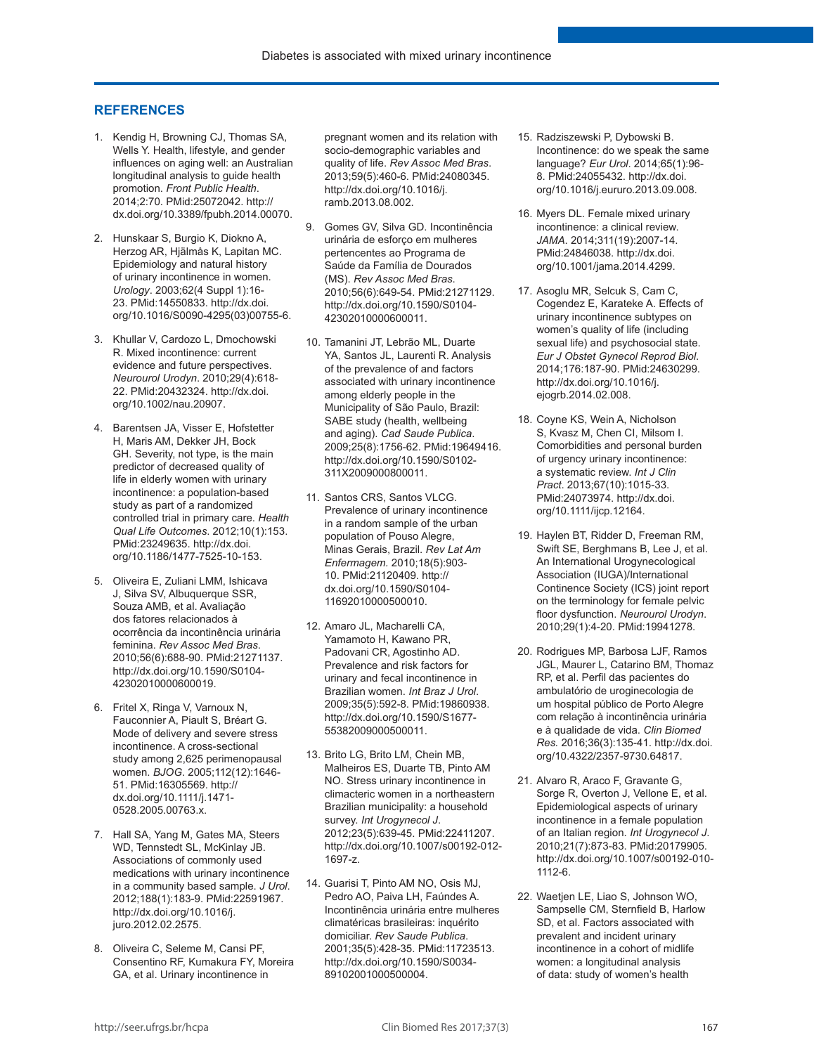### **REFERENCES**

- 1. Kendig H, Browning CJ, Thomas SA, Wells Y. Health, lifestyle, and gender influences on aging well: an Australian longitudinal analysis to guide health promotion. *Front Public Health*. 2014;2:70. [PMid:25072042.](http://www.ncbi.nlm.nih.gov/entrez/query.fcgi?cmd=Retrieve&db=PubMed&list_uids=25072042&dopt=Abstract) [http://](http://dx.doi.org/10.3389/fpubh.2014.00070) [dx.doi.org/10.3389/fpubh.2014.00070](http://dx.doi.org/10.3389/fpubh.2014.00070).
- 2. Hunskaar S, Burgio K, Diokno A, Herzog AR, Hjälmås K, Lapitan MC. Epidemiology and natural history of urinary incontinence in women. *Urology*. 2003;62(4 Suppl 1):16- 23[. PMid:14550833.](http://www.ncbi.nlm.nih.gov/entrez/query.fcgi?cmd=Retrieve&db=PubMed&list_uids=14550833&dopt=Abstract) [http://dx.doi.](http://dx.doi.org/10.1016/S0090-4295(03)00755-6) [org/10.1016/S0090-4295\(03\)00755-6](http://dx.doi.org/10.1016/S0090-4295(03)00755-6).
- 3. Khullar V, Cardozo L, Dmochowski R. Mixed incontinence: current evidence and future perspectives. *Neurourol Urodyn*. 2010;29(4):618- 22[. PMid:20432324.](http://www.ncbi.nlm.nih.gov/entrez/query.fcgi?cmd=Retrieve&db=PubMed&list_uids=20432324&dopt=Abstract) [http://dx.doi.](http://dx.doi.org/10.1002/nau.20907) [org/10.1002/nau.20907.](http://dx.doi.org/10.1002/nau.20907)
- 4. Barentsen JA, Visser E, Hofstetter H, Maris AM, Dekker JH, Bock GH. Severity, not type, is the main predictor of decreased quality of life in elderly women with urinary incontinence: a population-based study as part of a randomized controlled trial in primary care. *Healt[h](http://www.ncbi.nlm.nih.gov/entrez/query.fcgi?cmd=Retrieve&db=PubMed&list_uids=23249635&dopt=Abstract)  Qual Life Outcomes*. 2012;10(1):153. [PMid:23249635.](http://www.ncbi.nlm.nih.gov/entrez/query.fcgi?cmd=Retrieve&db=PubMed&list_uids=23249635&dopt=Abstract) [http://dx.doi.](http://dx.doi.org/10.1186/1477-7525-10-153) [org/10.1186/1477-7525-10-153](http://dx.doi.org/10.1186/1477-7525-10-153).
- 5. Oliveira E, Zuliani LMM, Ishicava J, Silva SV, Albuquerque SSR, Souza AMB, et al. Avaliação dos fatores relacionados à ocorrência da incontinência urinária feminina. *Rev Assoc Med Bras*. 2010;56(6):688-90[. PMid:21271137.](http://www.ncbi.nlm.nih.gov/entrez/query.fcgi?cmd=Retrieve&db=PubMed&list_uids=21271137&dopt=Abstract) [http://dx.doi.org/10.1590/S0104-](http://dx.doi.org/10.1590/S0104-42302010000600019) [42302010000600019.](http://dx.doi.org/10.1590/S0104-42302010000600019)
- 6. Fritel X, Ringa V, Varnoux N, Fauconnier A, Piault S, Bréart G. Mode of delivery and severe stress incontinence. A cross-sectional study among 2,625 perimenopausal women. *BJOG*. 2005;112(12):1646- 51[. PMid:16305569.](http://www.ncbi.nlm.nih.gov/entrez/query.fcgi?cmd=Retrieve&db=PubMed&list_uids=16305569&dopt=Abstract) [http://](http://dx.doi.org/10.1111/j.1471-0528.2005.00763.x) [dx.doi.org/10.1111/j.1471-](http://dx.doi.org/10.1111/j.1471-0528.2005.00763.x) [0528.2005.00763.x.](http://dx.doi.org/10.1111/j.1471-0528.2005.00763.x)
- 7. Hall SA, Yang M, Gates MA, Steers WD, Tennstedt SL, McKinlay JB. Associations of commonly used medications with urinary incontinence in a community based sample. *J Urol*. 2012;188(1):183-9[. PMid:22591967.](http://www.ncbi.nlm.nih.gov/entrez/query.fcgi?cmd=Retrieve&db=PubMed&list_uids=22591967&dopt=Abstract) [http://dx.doi.org/10.1016/j.](http://dx.doi.org/10.1016/j.juro.2012.02.2575) [juro.2012.02.2575.](http://dx.doi.org/10.1016/j.juro.2012.02.2575)
- 8. Oliveira C, Seleme M, Cansi PF, Consentino RF, Kumakura FY, Moreira GA, et al. Urinary incontinence in

pregnant women and its relation with socio-demographic variables and quality of life. *Rev Assoc Med Bras*. 2013;59(5):460-6[. PMid:24080345.](http://www.ncbi.nlm.nih.gov/entrez/query.fcgi?cmd=Retrieve&db=PubMed&list_uids=24080345&dopt=Abstract) [http://dx.doi.org/10.1016/j.](http://dx.doi.org/10.1016/j.ramb.2013.08.002) [ramb.2013.08.002](http://dx.doi.org/10.1016/j.ramb.2013.08.002).

- 9. Gomes GV, Silva GD. Incontinência urinária de esforço em mulheres pertencentes ao Programa de Saúde da Família de Dourados (MS). *Rev Assoc Med Bras*. 2010;56(6):649-54. [PMid:21271129.](http://www.ncbi.nlm.nih.gov/entrez/query.fcgi?cmd=Retrieve&db=PubMed&list_uids=21271129&dopt=Abstract) [http://dx.doi.org/10.1590/S0104-](http://dx.doi.org/10.1590/S0104-42302010000600011) [42302010000600011.](http://dx.doi.org/10.1590/S0104-42302010000600011)
- 10. Tamanini JT, Lebrão ML, Duarte YA, Santos JL, Laurenti R. Analysis of the prevalence of and factors associated with urinary incontinence among elderly people in the Municipality of São Paulo, Brazil: SABE study (health, wellbeing and aging). *Cad Saude Publica*. 2009;25(8):1756-62. [PMid:19649416.](http://www.ncbi.nlm.nih.gov/entrez/query.fcgi?cmd=Retrieve&db=PubMed&list_uids=19649416&dopt=Abstract) [http://dx.doi.org/10.1590/S0102-](http://dx.doi.org/10.1590/S0102-311X2009000800011) [311X2009000800011.](http://dx.doi.org/10.1590/S0102-311X2009000800011)
- 11. Santos CRS, Santos VLCG. Prevalence of urinary incontinence in a random sample of the urban population of Pouso Alegre, Minas Gerais, Brazil. *Rev Lat Am Enfermagem.* 2010;18(5):903- 10. [PMid:21120409.](http://www.ncbi.nlm.nih.gov/entrez/query.fcgi?cmd=Retrieve&db=PubMed&list_uids=21120409&dopt=Abstract) [http://](http://dx.doi.org/10.1590/S0104-11692010000500010) [dx.doi.org/10.1590/S0104-](http://dx.doi.org/10.1590/S0104-11692010000500010) [11692010000500010.](http://dx.doi.org/10.1590/S0104-11692010000500010)
- 12. Amaro JL, Macharelli CA, Yamamoto H, Kawano PR, Padovani CR, Agostinho AD. Prevalence and risk factors for urinary and fecal incontinence in Brazilian women. *Int Braz J Urol*. 2009;35(5):592-8[. PMid:19860938.](http://www.ncbi.nlm.nih.gov/entrez/query.fcgi?cmd=Retrieve&db=PubMed&list_uids=19860938&dopt=Abstract) [http://dx.doi.org/10.1590/S1677-](http://dx.doi.org/10.1590/S1677-55382009000500011) [55382009000500011.](http://dx.doi.org/10.1590/S1677-55382009000500011)
- 13. Brito LG, Brito LM, Chein MB, Malheiros ES, Duarte TB, Pinto AM NO. Stress urinary incontinence in climacteric women in a northeastern Brazilian municipality: a household survey. *Int Urogynecol J*. 2012;23(5):639-45. [PMid:22411207.](http://www.ncbi.nlm.nih.gov/entrez/query.fcgi?cmd=Retrieve&db=PubMed&list_uids=22411207&dopt=Abstract) [http://dx.doi.org/10.1007/s00192-012-](http://dx.doi.org/10.1007/s00192-012-1697-z) [1697-z.](http://dx.doi.org/10.1007/s00192-012-1697-z)
- 14. Guarisi T, Pinto AM NO, Osis MJ, Pedro AO, Paiva LH, Faúndes A. Incontinência urinária entre mulheres climatéricas brasileiras: inquérito domiciliar. *Rev Saude Publica*. 2001;35(5):428-35. [PMid:11723513.](http://www.ncbi.nlm.nih.gov/entrez/query.fcgi?cmd=Retrieve&db=PubMed&list_uids=11723513&dopt=Abstract) [http://dx.doi.org/10.1590/S0034-](http://dx.doi.org/10.1590/S0034-89102001000500004) [89102001000500004](http://dx.doi.org/10.1590/S0034-89102001000500004).
- 15. Radziszewski P, Dybowski B. Incontinence: do we speak the same language? *Eur Urol*. 2014;65(1):96- 8. [PMid:24055432.](http://www.ncbi.nlm.nih.gov/entrez/query.fcgi?cmd=Retrieve&db=PubMed&list_uids=24055432&dopt=Abstract) [http://dx.doi.](http://dx.doi.org/10.1016/j.eururo.2013.09.008) [org/10.1016/j.eururo.2013.09.008.](http://dx.doi.org/10.1016/j.eururo.2013.09.008)
- 16. Myers DL. Female mixed urinary incontinence: a clinical review. *JAMA*. 2014;311(19):2007-14[.](http://www.ncbi.nlm.nih.gov/entrez/query.fcgi?cmd=Retrieve&db=PubMed&list_uids=24846038&dopt=Abstract) [PMid:24846038.](http://www.ncbi.nlm.nih.gov/entrez/query.fcgi?cmd=Retrieve&db=PubMed&list_uids=24846038&dopt=Abstract) [http://dx.doi.](http://dx.doi.org/10.1001/jama.2014.4299) [org/10.1001/jama.2014.4299](http://dx.doi.org/10.1001/jama.2014.4299).
- 17. Asoglu MR, Selcuk S, Cam C, Cogendez E, Karateke A. Effects of urinary incontinence subtypes on women's quality of life (including sexual life) and psychosocial state. *Eur J Obstet Gynecol Reprod Biol*. 2014;176:187-90. [PMid:24630299.](http://www.ncbi.nlm.nih.gov/entrez/query.fcgi?cmd=Retrieve&db=PubMed&list_uids=24630299&dopt=Abstract) [http://dx.doi.org/10.1016/j.](http://dx.doi.org/10.1016/j.ejogrb.2014.02.008) [ejogrb.2014.02.008.](http://dx.doi.org/10.1016/j.ejogrb.2014.02.008)
- 18. Coyne KS, Wein A, Nicholson S, Kvasz M, Chen CI, Milsom I. Comorbidities and personal burden of urgency urinary incontinence: a systematic review. *Int J Cl[in](http://www.ncbi.nlm.nih.gov/entrez/query.fcgi?cmd=Retrieve&db=PubMed&list_uids=24073974&dopt=Abstract) Pract*. 2013;67(10):1015-33. [PMid:24073974.](http://www.ncbi.nlm.nih.gov/entrez/query.fcgi?cmd=Retrieve&db=PubMed&list_uids=24073974&dopt=Abstract) [http://dx.doi.](http://dx.doi.org/10.1111/ijcp.12164) [org/10.1111/ijcp.12164](http://dx.doi.org/10.1111/ijcp.12164).
- 19. Haylen BT, Ridder D, Freeman RM, Swift SE, Berghmans B, Lee J, et al. An International Urogynecological Association (IUGA)/International Continence Society (ICS) joint report on the terminology for female pelvic floor dysfunction. *Neurourol Urodyn*. 2010;29(1):4-20[. PMid:19941278.](http://www.ncbi.nlm.nih.gov/entrez/query.fcgi?cmd=Retrieve&db=PubMed&list_uids=19941278&dopt=Abstract)
- 20. Rodrigues MP, Barbosa LJF, Ramos JGL, Maurer L, Catarino BM, Thomaz RP, et al. Perfil das pacientes do ambulatório de uroginecologia de um hospital público de Porto Alegre com relação à incontinência urinária e à qualidade de vida. *Clin Biomed Res.* 2016;36(3):135-41. [http://dx.doi.](http://dx.doi.org/10.4322/2357-9730.64817) [org/10.4322/2357-9730.64817.](http://dx.doi.org/10.4322/2357-9730.64817)
- 21. Alvaro R, Araco F, Gravante G, Sorge R, Overton J, Vellone E, et al. Epidemiological aspects of urinary incontinence in a female population of an Italian region. *Int Urogynecol J*. 2010;21(7):873-83. [PMid:20179905.](http://www.ncbi.nlm.nih.gov/entrez/query.fcgi?cmd=Retrieve&db=PubMed&list_uids=20179905&dopt=Abstract) [http://dx.doi.org/10.1007/s00192-010-](http://dx.doi.org/10.1007/s00192-010-1112-6) [1112-6.](http://dx.doi.org/10.1007/s00192-010-1112-6)
- 22. Waetjen LE, Liao S, Johnson WO, Sampselle CM, Sternfield B, Harlow SD, et al. Factors associated with prevalent and incident urinary incontinence in a cohort of midlife women: a longitudinal analysis of data: study of women's health